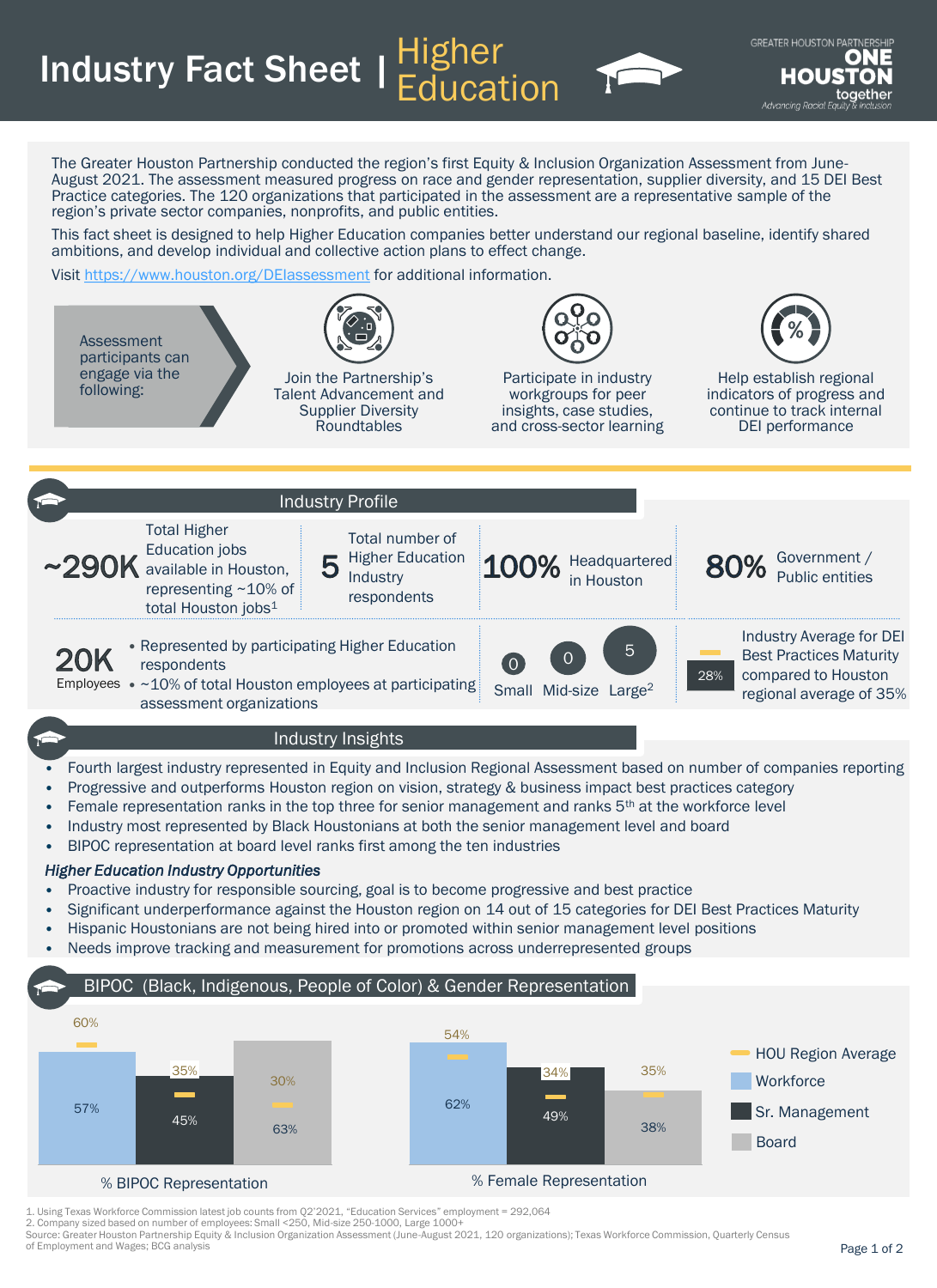**Industry Fact Sheet | Higher** 



The Greater Houston Partnership conducted the region's first Equity & Inclusion Organization Assessment from June-August 2021. The assessment measured progress on race and gender representation, supplier diversity, and 15 DEI Best Practice categories. The 120 organizations that participated in the assessment are a representative sample of the region's private sector companies, nonprofits, and public entities.

**Education** 

This fact sheet is designed to help Higher Education companies better understand our regional baseline, identify shared ambitions, and develop individual and collective action plans to effect change.

Visit <https://www.houston.org/DEIassessment> for additional information.



- Progressive and outperforms Houston region on vision, strategy & business impact best practices category
- Female representation ranks in the top three for senior management and ranks 5<sup>th</sup> at the workforce level
- Industry most represented by Black Houstonians at both the senior management level and board
- BIPOC representation at board level ranks first among the ten industries

## *Higher Education Industry Opportunities*

- Proactive industry for responsible sourcing, goal is to become progressive and best practice
- Significant underperformance against the Houston region on 14 out of 15 categories for DEI Best Practices Maturity
- Hispanic Houstonians are not being hired into or promoted within senior management level positions
- Needs improve tracking and measurement for promotions across underrepresented groups

## BIPOC (Black, Indigenous, People of Color) & Gender Representation



1. Using Texas Workforce Commission latest job counts from Q2'2021, "Education Services" employment = 292,064

2. Company sized based on number of employees: Small <250, Mid-size 250-1000, Large 1000+

Source: Greater Houston Partnership Equity & Inclusion Organization Assessment (June-August 2021, 120 organizations); Texas Workforce Commission, Quarterly Census of Employment and Wages; BCG analysis